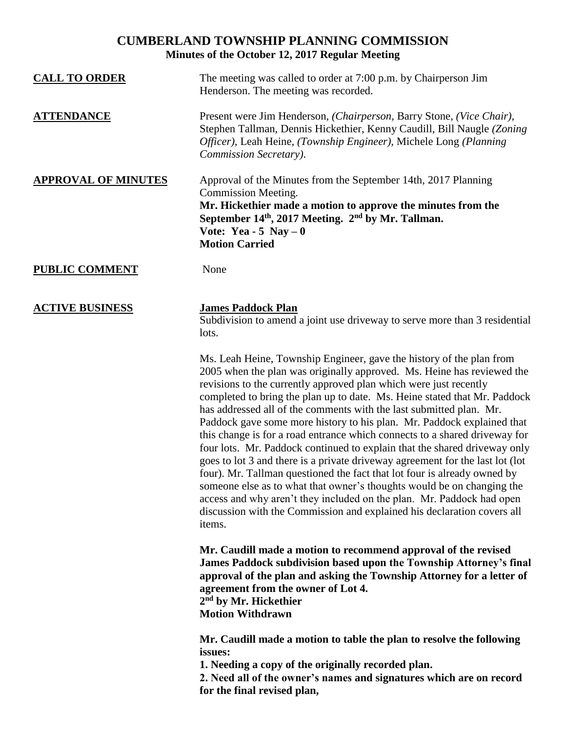# **CUMBERLAND TOWNSHIP PLANNING COMMISSION Minutes of the October 12, 2017 Regular Meeting**

| <b>CALL TO ORDER</b>       | The meeting was called to order at 7:00 p.m. by Chairperson Jim<br>Henderson. The meeting was recorded.                                                                                                                                                                                                                                                                                                                                                                                                                                                                                                                                                                                                                                                                                                                                                                                                                                                                                                           |
|----------------------------|-------------------------------------------------------------------------------------------------------------------------------------------------------------------------------------------------------------------------------------------------------------------------------------------------------------------------------------------------------------------------------------------------------------------------------------------------------------------------------------------------------------------------------------------------------------------------------------------------------------------------------------------------------------------------------------------------------------------------------------------------------------------------------------------------------------------------------------------------------------------------------------------------------------------------------------------------------------------------------------------------------------------|
| <b>ATTENDANCE</b>          | Present were Jim Henderson, (Chairperson, Barry Stone, (Vice Chair),<br>Stephen Tallman, Dennis Hickethier, Kenny Caudill, Bill Naugle (Zoning<br>Officer), Leah Heine, (Township Engineer), Michele Long (Planning<br>Commission Secretary).                                                                                                                                                                                                                                                                                                                                                                                                                                                                                                                                                                                                                                                                                                                                                                     |
| <b>APPROVAL OF MINUTES</b> | Approval of the Minutes from the September 14th, 2017 Planning<br><b>Commission Meeting.</b><br>Mr. Hickethier made a motion to approve the minutes from the<br>September 14 <sup>th</sup> , 2017 Meeting. 2 <sup>nd</sup> by Mr. Tallman.<br>Vote: Yea - 5 Nay $-0$<br><b>Motion Carried</b>                                                                                                                                                                                                                                                                                                                                                                                                                                                                                                                                                                                                                                                                                                                     |
| <b>PUBLIC COMMENT</b>      | None                                                                                                                                                                                                                                                                                                                                                                                                                                                                                                                                                                                                                                                                                                                                                                                                                                                                                                                                                                                                              |
| <b>ACTIVE BUSINESS</b>     | <b>James Paddock Plan</b><br>Subdivision to amend a joint use driveway to serve more than 3 residential<br>lots.                                                                                                                                                                                                                                                                                                                                                                                                                                                                                                                                                                                                                                                                                                                                                                                                                                                                                                  |
|                            | Ms. Leah Heine, Township Engineer, gave the history of the plan from<br>2005 when the plan was originally approved. Ms. Heine has reviewed the<br>revisions to the currently approved plan which were just recently<br>completed to bring the plan up to date. Ms. Heine stated that Mr. Paddock<br>has addressed all of the comments with the last submitted plan. Mr.<br>Paddock gave some more history to his plan. Mr. Paddock explained that<br>this change is for a road entrance which connects to a shared driveway for<br>four lots. Mr. Paddock continued to explain that the shared driveway only<br>goes to lot 3 and there is a private driveway agreement for the last lot (lot<br>four). Mr. Tallman questioned the fact that lot four is already owned by<br>someone else as to what that owner's thoughts would be on changing the<br>access and why aren't they included on the plan. Mr. Paddock had open<br>discussion with the Commission and explained his declaration covers all<br>items. |
|                            | Mr. Caudill made a motion to recommend approval of the revised<br>James Paddock subdivision based upon the Township Attorney's final<br>approval of the plan and asking the Township Attorney for a letter of<br>agreement from the owner of Lot 4.<br>2 <sup>nd</sup> by Mr. Hickethier<br><b>Motion Withdrawn</b>                                                                                                                                                                                                                                                                                                                                                                                                                                                                                                                                                                                                                                                                                               |
|                            | Mr. Caudill made a motion to table the plan to resolve the following<br>issues:<br>1. Needing a copy of the originally recorded plan.<br>2. Need all of the owner's names and signatures which are on record<br>for the final revised plan,                                                                                                                                                                                                                                                                                                                                                                                                                                                                                                                                                                                                                                                                                                                                                                       |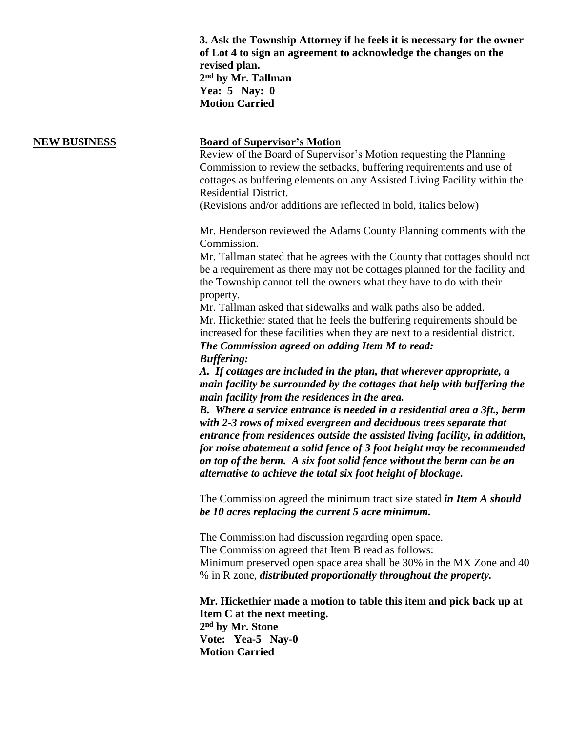**3. Ask the Township Attorney if he feels it is necessary for the owner of Lot 4 to sign an agreement to acknowledge the changes on the revised plan. 2 nd by Mr. Tallman Yea: 5 Nay: 0 Motion Carried**

### **NEW BUSINESS Board of Supervisor's Motion**

Review of the Board of Supervisor's Motion requesting the Planning Commission to review the setbacks, buffering requirements and use of cottages as buffering elements on any Assisted Living Facility within the Residential District.

(Revisions and/or additions are reflected in bold, italics below)

Mr. Henderson reviewed the Adams County Planning comments with the Commission.

Mr. Tallman stated that he agrees with the County that cottages should not be a requirement as there may not be cottages planned for the facility and the Township cannot tell the owners what they have to do with their property.

Mr. Tallman asked that sidewalks and walk paths also be added. Mr. Hickethier stated that he feels the buffering requirements should be increased for these facilities when they are next to a residential district. *The Commission agreed on adding Item M to read:* 

*Buffering:* 

*A. If cottages are included in the plan, that wherever appropriate, a main facility be surrounded by the cottages that help with buffering the main facility from the residences in the area.*

*B. Where a service entrance is needed in a residential area a 3ft., berm with 2-3 rows of mixed evergreen and deciduous trees separate that entrance from residences outside the assisted living facility, in addition, for noise abatement a solid fence of 3 foot height may be recommended on top of the berm. A six foot solid fence without the berm can be an alternative to achieve the total six foot height of blockage.*

The Commission agreed the minimum tract size stated *in Item A should be 10 acres replacing the current 5 acre minimum.*

The Commission had discussion regarding open space. The Commission agreed that Item B read as follows: Minimum preserved open space area shall be 30% in the MX Zone and 40 % in R zone, *distributed proportionally throughout the property.*

**Mr. Hickethier made a motion to table this item and pick back up at Item C at the next meeting. 2 nd by Mr. Stone Vote: Yea-5 Nay-0 Motion Carried**